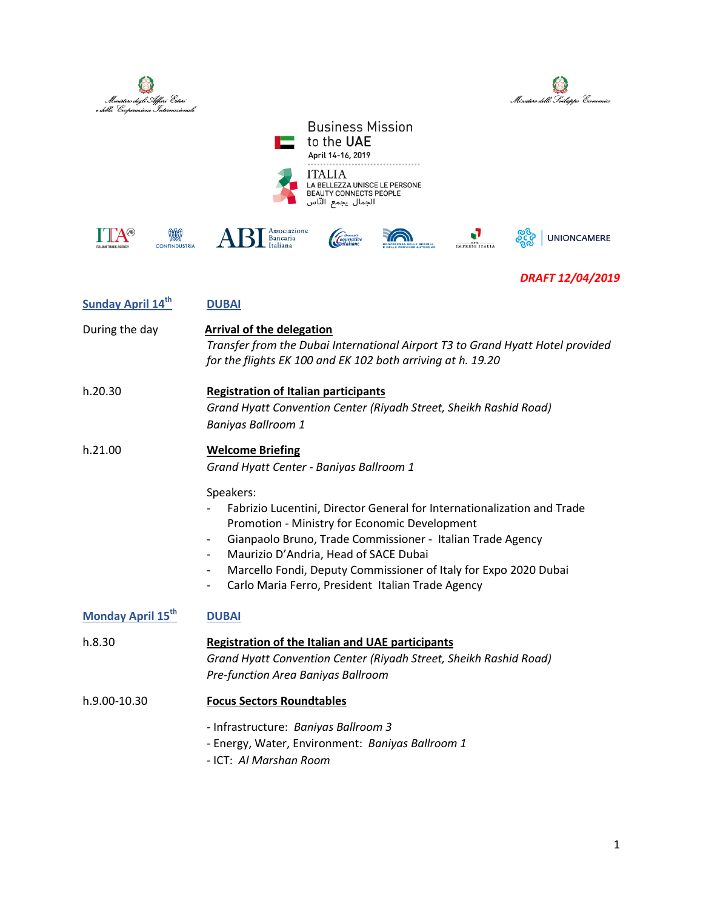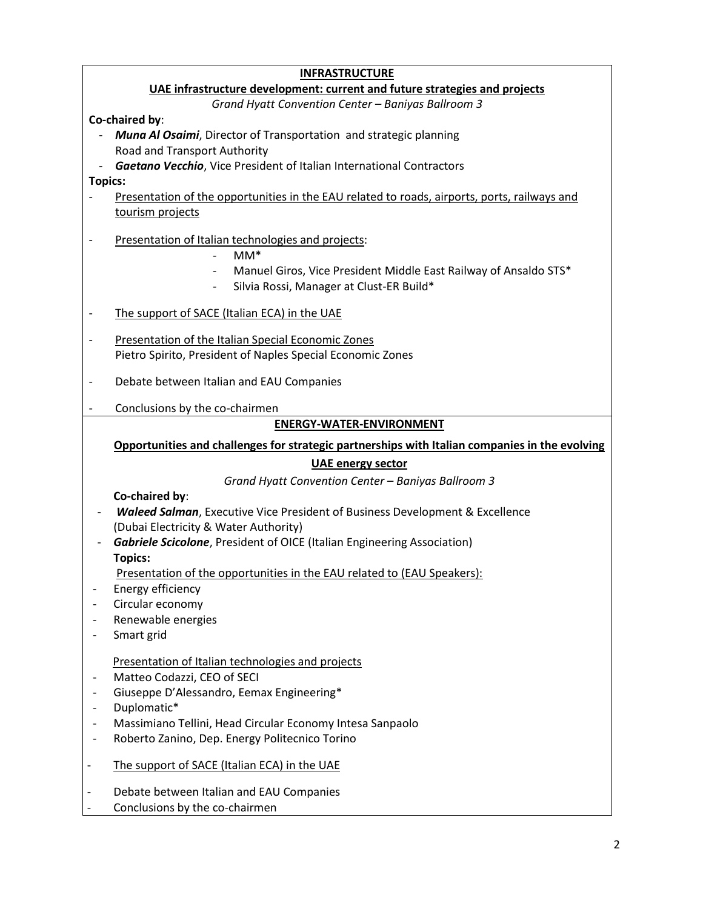| <b>INFRASTRUCTURE</b>                                                      |                                                                                                |  |
|----------------------------------------------------------------------------|------------------------------------------------------------------------------------------------|--|
| UAE infrastructure development: current and future strategies and projects |                                                                                                |  |
| Grand Hyatt Convention Center - Baniyas Ballroom 3                         |                                                                                                |  |
|                                                                            | Co-chaired by:                                                                                 |  |
|                                                                            | <b>Muna Al Osaimi</b> , Director of Transportation and strategic planning                      |  |
|                                                                            | Road and Transport Authority                                                                   |  |
|                                                                            | Gaetano Vecchio, Vice President of Italian International Contractors                           |  |
| <b>Topics:</b>                                                             |                                                                                                |  |
|                                                                            | Presentation of the opportunities in the EAU related to roads, airports, ports, railways and   |  |
|                                                                            | tourism projects                                                                               |  |
|                                                                            |                                                                                                |  |
| $\qquad \qquad \blacksquare$                                               | Presentation of Italian technologies and projects:<br>$MM^*$                                   |  |
|                                                                            |                                                                                                |  |
|                                                                            | Manuel Giros, Vice President Middle East Railway of Ansaldo STS*                               |  |
|                                                                            | Silvia Rossi, Manager at Clust-ER Build*                                                       |  |
| $\qquad \qquad \blacksquare$                                               | The support of SACE (Italian ECA) in the UAE                                                   |  |
|                                                                            |                                                                                                |  |
|                                                                            | Presentation of the Italian Special Economic Zones                                             |  |
|                                                                            | Pietro Spirito, President of Naples Special Economic Zones                                     |  |
|                                                                            | Debate between Italian and EAU Companies                                                       |  |
|                                                                            |                                                                                                |  |
|                                                                            | Conclusions by the co-chairmen                                                                 |  |
|                                                                            | <b>ENERGY-WATER-ENVIRONMENT</b>                                                                |  |
|                                                                            | Opportunities and challenges for strategic partnerships with Italian companies in the evolving |  |
|                                                                            | <b>UAE energy sector</b>                                                                       |  |
|                                                                            | Grand Hyatt Convention Center - Baniyas Ballroom 3                                             |  |
|                                                                            | Co-chaired by:                                                                                 |  |
|                                                                            | <b>Waleed Salman, Executive Vice President of Business Development &amp; Excellence</b>        |  |
|                                                                            | (Dubai Electricity & Water Authority)                                                          |  |
|                                                                            | <b>Gabriele Scicolone</b> , President of OICE (Italian Engineering Association)                |  |
|                                                                            | <b>Topics:</b>                                                                                 |  |
|                                                                            | Presentation of the opportunities in the EAU related to (EAU Speakers):                        |  |
|                                                                            | Energy efficiency                                                                              |  |
|                                                                            | Circular economy                                                                               |  |
|                                                                            | Renewable energies                                                                             |  |
|                                                                            | Smart grid                                                                                     |  |
|                                                                            |                                                                                                |  |
|                                                                            | Presentation of Italian technologies and projects                                              |  |
|                                                                            | Matteo Codazzi, CEO of SECI                                                                    |  |
|                                                                            | Giuseppe D'Alessandro, Eemax Engineering*                                                      |  |
| $\overline{\phantom{a}}$<br>$\overline{\phantom{a}}$                       | Duplomatic*<br>Massimiano Tellini, Head Circular Economy Intesa Sanpaolo                       |  |
|                                                                            | Roberto Zanino, Dep. Energy Politecnico Torino                                                 |  |
|                                                                            |                                                                                                |  |
| $\overline{\phantom{a}}$                                                   | The support of SACE (Italian ECA) in the UAE                                                   |  |
|                                                                            |                                                                                                |  |
|                                                                            | Debate between Italian and EAU Companies                                                       |  |
|                                                                            | Conclusions by the co-chairmen                                                                 |  |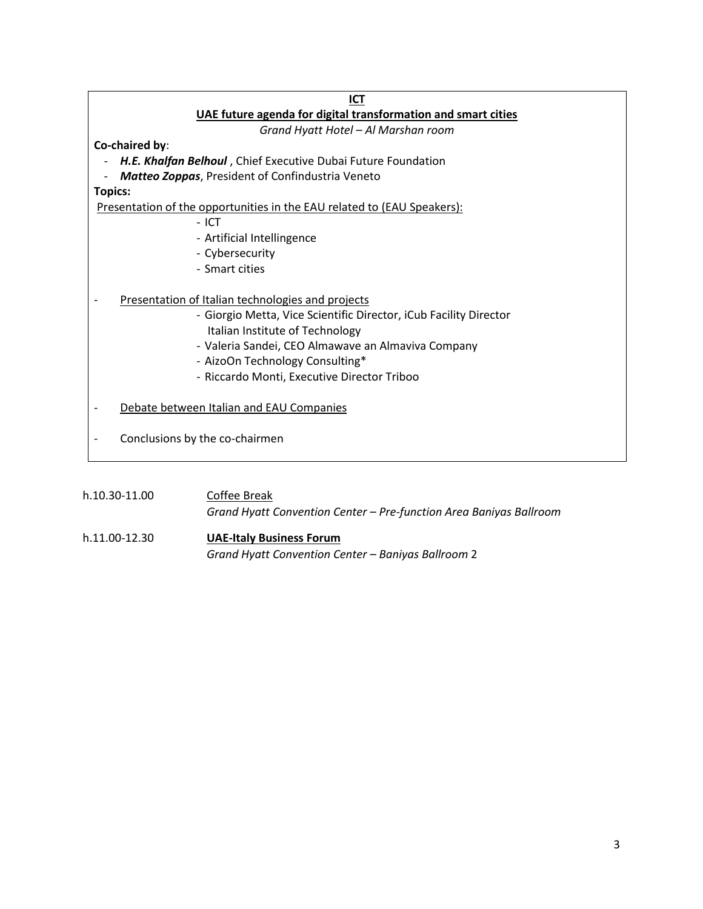| ICT                                                                     |  |  |
|-------------------------------------------------------------------------|--|--|
| UAE future agenda for digital transformation and smart cities           |  |  |
| Grand Hyatt Hotel - Al Marshan room                                     |  |  |
| Co-chaired by:                                                          |  |  |
| H.E. Khalfan Belhoul, Chief Executive Dubai Future Foundation           |  |  |
| <b>Matteo Zoppas, President of Confindustria Veneto</b>                 |  |  |
| <b>Topics:</b>                                                          |  |  |
| Presentation of the opportunities in the EAU related to (EAU Speakers): |  |  |
| $-$ ICT                                                                 |  |  |
| - Artificial Intellingence                                              |  |  |
| - Cybersecurity                                                         |  |  |
| - Smart cities                                                          |  |  |
|                                                                         |  |  |
| Presentation of Italian technologies and projects                       |  |  |
| - Giorgio Metta, Vice Scientific Director, iCub Facility Director       |  |  |
| Italian Institute of Technology                                         |  |  |
| - Valeria Sandei, CEO Almawave an Almaviva Company                      |  |  |
| - AizoOn Technology Consulting*                                         |  |  |
| - Riccardo Monti, Executive Director Triboo                             |  |  |
|                                                                         |  |  |
| Debate between Italian and EAU Companies                                |  |  |
|                                                                         |  |  |
| Conclusions by the co-chairmen<br>$\overline{\phantom{a}}$              |  |  |
|                                                                         |  |  |
|                                                                         |  |  |
| h.10.30-11.00<br>Coffee Break                                           |  |  |

*Grand Hyatt Convention Center – Pre-function Area Baniyas Ballroom* h.11.00-12.30 **UAE-Italy Business Forum** 

*Grand Hyatt Convention Center – Baniyas Ballroom* 2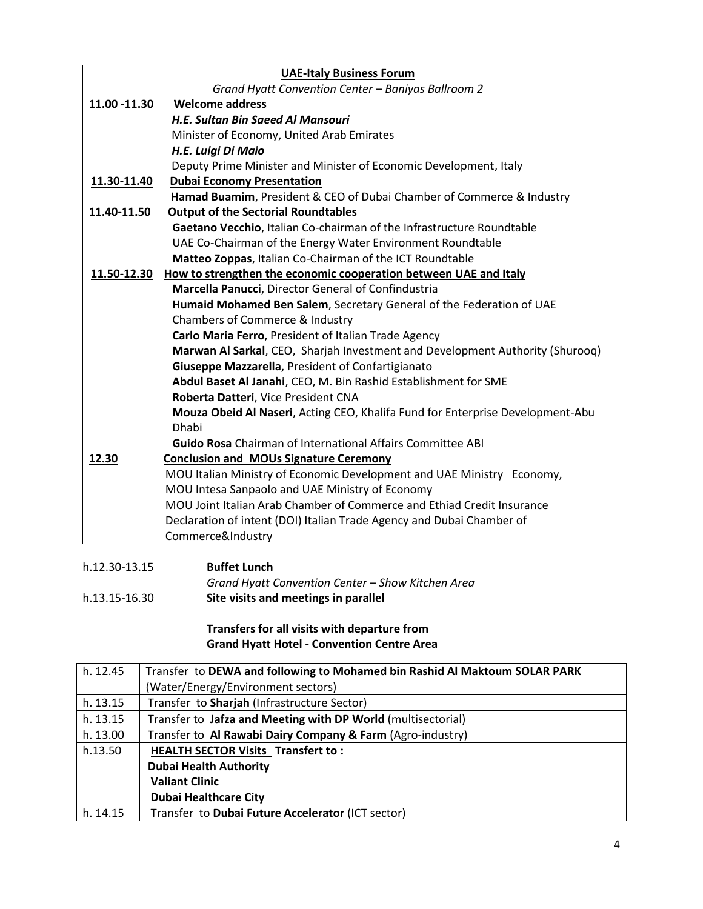|                                                           | <b>UAE-Italy Business Forum</b>                                                                |
|-----------------------------------------------------------|------------------------------------------------------------------------------------------------|
|                                                           | Grand Hyatt Convention Center - Baniyas Ballroom 2                                             |
| 11.00 -11.30                                              | <b>Welcome address</b>                                                                         |
|                                                           | H.E. Sultan Bin Saeed Al Mansouri                                                              |
|                                                           | Minister of Economy, United Arab Emirates                                                      |
|                                                           | H.E. Luigi Di Maio                                                                             |
|                                                           | Deputy Prime Minister and Minister of Economic Development, Italy                              |
| 11.30-11.40                                               | <b>Dubai Economy Presentation</b>                                                              |
|                                                           | Hamad Buamim, President & CEO of Dubai Chamber of Commerce & Industry                          |
| <b>Output of the Sectorial Roundtables</b><br>11.40-11.50 |                                                                                                |
|                                                           | Gaetano Vecchio, Italian Co-chairman of the Infrastructure Roundtable                          |
|                                                           | UAE Co-Chairman of the Energy Water Environment Roundtable                                     |
|                                                           | Matteo Zoppas, Italian Co-Chairman of the ICT Roundtable                                       |
| 11.50-12.30                                               | How to strengthen the economic cooperation between UAE and Italy                               |
|                                                           | Marcella Panucci, Director General of Confindustria                                            |
|                                                           | Humaid Mohamed Ben Salem, Secretary General of the Federation of UAE                           |
|                                                           | Chambers of Commerce & Industry                                                                |
|                                                           | Carlo Maria Ferro, President of Italian Trade Agency                                           |
|                                                           | Marwan Al Sarkal, CEO, Sharjah Investment and Development Authority (Shurooq)                  |
|                                                           | Giuseppe Mazzarella, President of Confartigianato                                              |
|                                                           | Abdul Baset Al Janahi, CEO, M. Bin Rashid Establishment for SME                                |
|                                                           | Roberta Datteri, Vice President CNA                                                            |
|                                                           | Mouza Obeid Al Naseri, Acting CEO, Khalifa Fund for Enterprise Development-Abu<br><b>Dhabi</b> |
|                                                           | <b>Guido Rosa</b> Chairman of International Affairs Committee ABI                              |
| 12.30                                                     | <b>Conclusion and MOUs Signature Ceremony</b>                                                  |
|                                                           | MOU Italian Ministry of Economic Development and UAE Ministry Economy,                         |
|                                                           | MOU Intesa Sanpaolo and UAE Ministry of Economy                                                |
|                                                           | MOU Joint Italian Arab Chamber of Commerce and Ethiad Credit Insurance                         |
|                                                           | Declaration of intent (DOI) Italian Trade Agency and Dubai Chamber of                          |
|                                                           | Commerce&Industry                                                                              |
|                                                           |                                                                                                |

| h.12.30-13.15 | <b>Buffet Lunch</b>                               |
|---------------|---------------------------------------------------|
|               | Grand Hyatt Convention Center – Show Kitchen Area |
| h.13.15-16.30 | Site visits and meetings in parallel              |

## **Transfers for all visits with departure from Grand Hyatt Hotel - Convention Centre Area**

| h. 12.45 | Transfer to DEWA and following to Mohamed bin Rashid Al Maktoum SOLAR PARK<br>(Water/Energy/Environment sectors) |
|----------|------------------------------------------------------------------------------------------------------------------|
| h. 13.15 | Transfer to Sharjah (Infrastructure Sector)                                                                      |
| h. 13.15 | Transfer to Jafza and Meeting with DP World (multisectorial)                                                     |
| h. 13.00 | Transfer to Al Rawabi Dairy Company & Farm (Agro-industry)                                                       |
| h.13.50  | <b>HEALTH SECTOR Visits Transfert to:</b>                                                                        |
|          | <b>Dubai Health Authority</b>                                                                                    |
|          | <b>Valiant Clinic</b>                                                                                            |
|          | <b>Dubai Healthcare City</b>                                                                                     |
| h. 14.15 | Transfer to Dubai Future Accelerator (ICT sector)                                                                |